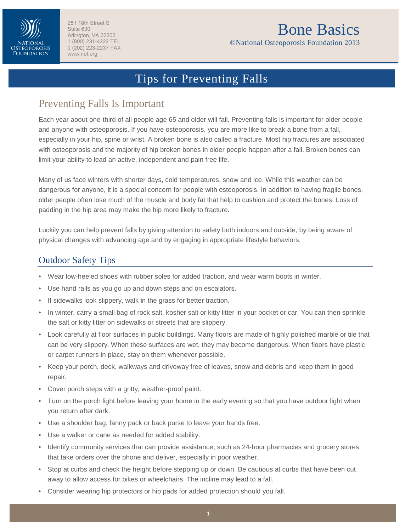

# Bone Basics

©National Osteoporosis Foundation 2013

## Tips for Preventing Falls

### Preventing Falls Is Important

Each year about one-third of all people age 65 and older will fall. Preventing falls is important for older people and anyone with osteoporosis. If you have osteoporosis, you are more like to break a bone from a fall, especially in your hip, spine or wrist. A broken bone is also called a fracture. Most hip fractures are associated with osteoporosis and the majority of hip broken bones in older people happen after a fall. Broken bones can limit your ability to lead an active, independent and pain free life.

Many of us face winters with shorter days, cold temperatures, snow and ice. While this weather can be dangerous for anyone, it is a special concern for people with osteoporosis. In addition to having fragile bones, older people often lose much of the muscle and body fat that help to cushion and protect the bones. Loss of padding in the hip area may make the hip more likely to fracture.

Luckily you can help prevent falls by giving attention to safety both indoors and outside, by being aware of physical changes with advancing age and by engaging in appropriate lifestyle behaviors.

#### Outdoor Safety Tips

- Wear low-heeled shoes with rubber soles for added traction, and wear warm boots in winter.
- Use hand rails as you go up and down steps and on escalators.
- If sidewalks look slippery, walk in the grass for better traction.
- In winter, carry a small bag of rock salt, kosher salt or kitty litter in your pocket or car. You can then sprinkle the salt or kitty litter on sidewalks or streets that are slippery.
- Look carefully at floor surfaces in public buildings. Many floors are made of highly polished marble or tile that can be very slippery. When these surfaces are wet, they may become dangerous. When floors have plastic or carpet runners in place, stay on them whenever possible.
- Keep your porch, deck, walkways and driveway free of leaves, snow and debris and keep them in good repair.
- Cover porch steps with a gritty, weather-proof paint.
- Turn on the porch light before leaving your home in the early evening so that you have outdoor light when you return after dark.
- Use a shoulder bag, fanny pack or back purse to leave your hands free.
- Use a walker or cane as needed for added stability.
- Identify community services that can provide assistance, such as 24-hour pharmacies and grocery stores that take orders over the phone and deliver, especially in poor weather.
- Stop at curbs and check the height before stepping up or down. Be cautious at curbs that have been cut away to allow access for bikes or wheelchairs. The incline may lead to a fall.
- Consider wearing hip protectors or hip pads for added protection should you fall.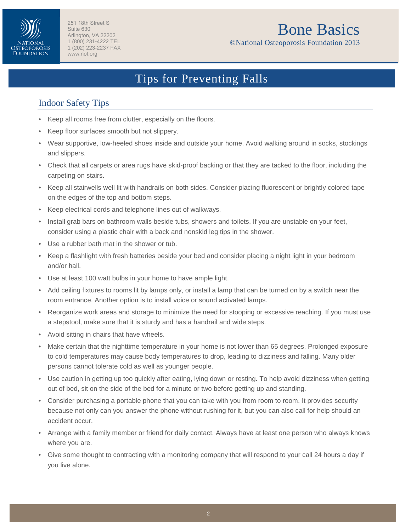

# Bone Basics

©National Osteoporosis Foundation 2013

## Tips for Preventing Falls

### Indoor Safety Tips

- Keep all rooms free from clutter, especially on the floors.
- Keep floor surfaces smooth but not slippery.
- Wear supportive, low-heeled shoes inside and outside your home. Avoid walking around in socks, stockings and slippers.
- Check that all carpets or area rugs have skid-proof backing or that they are tacked to the floor, including the carpeting on stairs.
- Keep all stairwells well lit with handrails on both sides. Consider placing fluorescent or brightly colored tape on the edges of the top and bottom steps.
- Keep electrical cords and telephone lines out of walkways.
- Install grab bars on bathroom walls beside tubs, showers and toilets. If you are unstable on your feet, consider using a plastic chair with a back and nonskid leg tips in the shower.
- Use a rubber bath mat in the shower or tub.
- Keep a flashlight with fresh batteries beside your bed and consider placing a night light in your bedroom and/or hall.
- Use at least 100 watt bulbs in your home to have ample light.
- Add ceiling fixtures to rooms lit by lamps only, or install a lamp that can be turned on by a switch near the room entrance. Another option is to install voice or sound activated lamps.
- Reorganize work areas and storage to minimize the need for stooping or excessive reaching. If you must use a stepstool, make sure that it is sturdy and has a handrail and wide steps.
- Avoid sitting in chairs that have wheels.
- Make certain that the nighttime temperature in your home is not lower than 65 degrees. Prolonged exposure to cold temperatures may cause body temperatures to drop, leading to dizziness and falling. Many older persons cannot tolerate cold as well as younger people.
- Use caution in getting up too quickly after eating, lying down or resting. To help avoid dizziness when getting out of bed, sit on the side of the bed for a minute or two before getting up and standing.
- Consider purchasing a portable phone that you can take with you from room to room. It provides security because not only can you answer the phone without rushing for it, but you can also call for help should an accident occur.
- Arrange with a family member or friend for daily contact. Always have at least one person who always knows where you are.
- Give some thought to contracting with a monitoring company that will respond to your call 24 hours a day if you live alone.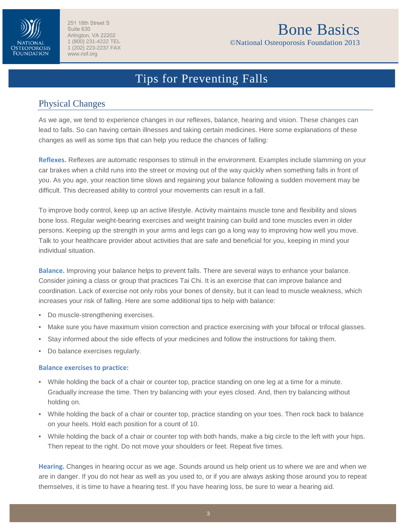

# Bone Basics

©National Osteoporosis Foundation 2013

## Tips for Preventing Falls

#### Physical Changes

As we age, we tend to experience changes in our reflexes, balance, hearing and vision. These changes can lead to falls. So can having certain illnesses and taking certain medicines. Here some explanations of these changes as well as some tips that can help you reduce the chances of falling:

**Reflexes.** Reflexes are automatic responses to stimuli in the environment. Examples include slamming on your car brakes when a child runs into the street or moving out of the way quickly when something falls in front of you. As you age, your reaction time slows and regaining your balance following a sudden movement may be difficult. This decreased ability to control your movements can result in a fall.

To improve body control, keep up an active lifestyle. Activity maintains muscle tone and flexibility and slows bone loss. Regular weight-bearing exercises and weight training can build and tone muscles even in older persons. Keeping up the strength in your arms and legs can go a long way to improving how well you move. Talk to your healthcare provider about activities that are safe and beneficial for you, keeping in mind your individual situation.

**Balance.** Improving your balance helps to prevent falls. There are several ways to enhance your balance. Consider joining a class or group that practices Tai Chi. It is an exercise that can improve balance and coordination. Lack of exercise not only robs your bones of density, but it can lead to muscle weakness, which increases your risk of falling. Here are some additional tips to help with balance:

- Do muscle-strengthening exercises.
- Make sure you have maximum vision correction and practice exercising with your bifocal or trifocal glasses.
- Stay informed about the side effects of your medicines and follow the instructions for taking them.
- Do balance exercises regularly.

#### **Balance exercises to practice:**

- While holding the back of a chair or counter top, practice standing on one leg at a time for a minute. Gradually increase the time. Then try balancing with your eyes closed. And, then try balancing without holding on.
- While holding the back of a chair or counter top, practice standing on your toes. Then rock back to balance on your heels. Hold each position for a count of 10.
- While holding the back of a chair or counter top with both hands, make a big circle to the left with your hips. Then repeat to the right. Do not move your shoulders or feet. Repeat five times.

**Hearing.** Changes in hearing occur as we age. Sounds around us help orient us to where we are and when we are in danger. If you do not hear as well as you used to, or if you are always asking those around you to repeat themselves, it is time to have a hearing test. If you have hearing loss, be sure to wear a hearing aid.